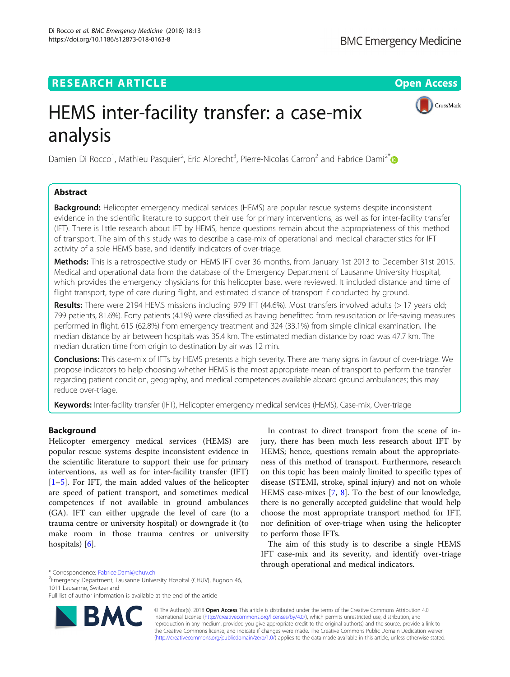# **RESEARCH ARTICLE Example 2014 12:30 The Open Access**

CrossMark

# HEMS inter-facility transfer: a case-mix analysis

Damien Di Rocco<sup>1</sup>, Mathieu Pasquier<sup>2</sup>, Eric Albrecht<sup>3</sup>, Pierre-Nicolas Carron<sup>2</sup> and Fabrice Dami<sup>2[\\*](http://orcid.org/0000-0002-6994-4478)</sup>

# Abstract

**Background:** Helicopter emergency medical services (HEMS) are popular rescue systems despite inconsistent evidence in the scientific literature to support their use for primary interventions, as well as for inter-facility transfer (IFT). There is little research about IFT by HEMS, hence questions remain about the appropriateness of this method of transport. The aim of this study was to describe a case-mix of operational and medical characteristics for IFT activity of a sole HEMS base, and identify indicators of over-triage.

Methods: This is a retrospective study on HEMS IFT over 36 months, from January 1st 2013 to December 31st 2015. Medical and operational data from the database of the Emergency Department of Lausanne University Hospital, which provides the emergency physicians for this helicopter base, were reviewed. It included distance and time of flight transport, type of care during flight, and estimated distance of transport if conducted by ground.

Results: There were 2194 HEMS missions including 979 IFT (44.6%). Most transfers involved adults (> 17 years old; 799 patients, 81.6%). Forty patients (4.1%) were classified as having benefitted from resuscitation or life-saving measures performed in flight, 615 (62.8%) from emergency treatment and 324 (33.1%) from simple clinical examination. The median distance by air between hospitals was 35.4 km. The estimated median distance by road was 47.7 km. The median duration time from origin to destination by air was 12 min.

Conclusions: This case-mix of IFTs by HEMS presents a high severity. There are many signs in favour of over-triage. We propose indicators to help choosing whether HEMS is the most appropriate mean of transport to perform the transfer regarding patient condition, geography, and medical competences available aboard ground ambulances; this may reduce over-triage.

Keywords: Inter-facility transfer (IFT), Helicopter emergency medical services (HEMS), Case-mix, Over-triage

# **Background**

Helicopter emergency medical services (HEMS) are popular rescue systems despite inconsistent evidence in the scientific literature to support their use for primary interventions, as well as for inter-facility transfer (IFT)  $[1–5]$  $[1–5]$  $[1–5]$  $[1–5]$ . For IFT, the main added values of the helicopter are speed of patient transport, and sometimes medical competences if not available in ground ambulances (GA). IFT can either upgrade the level of care (to a trauma centre or university hospital) or downgrade it (to make room in those trauma centres or university hospitals) [[6\]](#page-5-0).

<sup>2</sup>Emergency Department, Lausanne University Hospital (CHUV), Bugnon 46, 1011 Lausanne, Switzerland

Full list of author information is available at the end of the article



In contrast to direct transport from the scene of injury, there has been much less research about IFT by HEMS; hence, questions remain about the appropriateness of this method of transport. Furthermore, research on this topic has been mainly limited to specific types of disease (STEMI, stroke, spinal injury) and not on whole HEMS case-mixes [\[7,](#page-5-0) [8\]](#page-5-0). To the best of our knowledge, there is no generally accepted guideline that would help choose the most appropriate transport method for IFT, nor definition of over-triage when using the helicopter to perform those IFTs.

The aim of this study is to describe a single HEMS IFT case-mix and its severity, and identify over-triage through operational and medical indicators.

© The Author(s). 2018 Open Access This article is distributed under the terms of the Creative Commons Attribution 4.0 International License [\(http://creativecommons.org/licenses/by/4.0/](http://creativecommons.org/licenses/by/4.0/)), which permits unrestricted use, distribution, and reproduction in any medium, provided you give appropriate credit to the original author(s) and the source, provide a link to the Creative Commons license, and indicate if changes were made. The Creative Commons Public Domain Dedication waiver [\(http://creativecommons.org/publicdomain/zero/1.0/](http://creativecommons.org/publicdomain/zero/1.0/)) applies to the data made available in this article, unless otherwise stated.

<sup>\*</sup> Correspondence: [Fabrice.Dami@chuv.ch](mailto:Fabrice.Dami@chuv.ch) <sup>2</sup>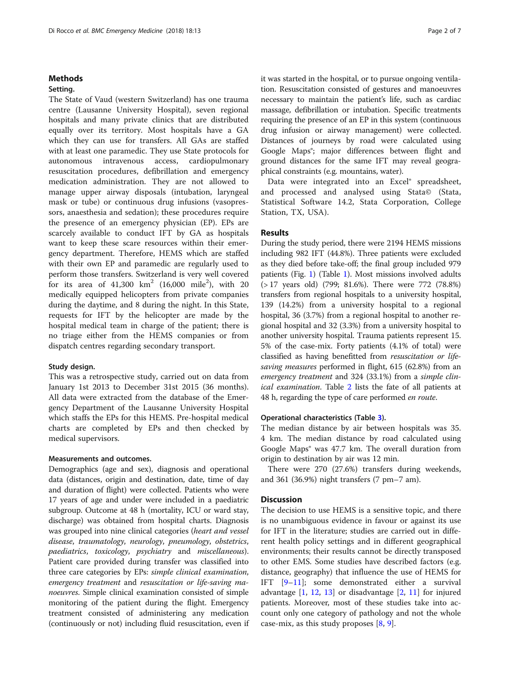# Methods

# Setting.

The State of Vaud (western Switzerland) has one trauma centre (Lausanne University Hospital), seven regional hospitals and many private clinics that are distributed equally over its territory. Most hospitals have a GA which they can use for transfers. All GAs are staffed with at least one paramedic. They use State protocols for autonomous intravenous access, cardiopulmonary resuscitation procedures, defibrillation and emergency medication administration. They are not allowed to manage upper airway disposals (intubation, laryngeal mask or tube) or continuous drug infusions (vasopressors, anaesthesia and sedation); these procedures require the presence of an emergency physician (EP). EPs are scarcely available to conduct IFT by GA as hospitals want to keep these scare resources within their emergency department. Therefore, HEMS which are staffed with their own EP and paramedic are regularly used to perform those transfers. Switzerland is very well covered for its area of  $41,300$   $km^2$   $(16,000$  mile<sup>2</sup>), with 20 medically equipped helicopters from private companies during the daytime, and 8 during the night. In this State, requests for IFT by the helicopter are made by the hospital medical team in charge of the patient; there is no triage either from the HEMS companies or from dispatch centres regarding secondary transport.

### Study design.

This was a retrospective study, carried out on data from January 1st 2013 to December 31st 2015 (36 months). All data were extracted from the database of the Emergency Department of the Lausanne University Hospital which staffs the EPs for this HEMS. Pre-hospital medical charts are completed by EPs and then checked by medical supervisors.

# Measurements and outcomes.

Demographics (age and sex), diagnosis and operational data (distances, origin and destination, date, time of day and duration of flight) were collected. Patients who were 17 years of age and under were included in a paediatric subgroup. Outcome at 48 h (mortality, ICU or ward stay, discharge) was obtained from hospital charts. Diagnosis was grouped into nine clinical categories (heart and vessel disease, traumatology, neurology, pneumology, obstetrics, paediatrics, toxicology, psychiatry and miscellaneous). Patient care provided during transfer was classified into three care categories by EPs: simple clinical examination, emergency treatment and resuscitation or life-saving manoeuvres. Simple clinical examination consisted of simple monitoring of the patient during the flight. Emergency treatment consisted of administering any medication (continuously or not) including fluid resuscitation, even if it was started in the hospital, or to pursue ongoing ventilation. Resuscitation consisted of gestures and manoeuvres necessary to maintain the patient's life, such as cardiac massage, defibrillation or intubation. Specific treatments requiring the presence of an EP in this system (continuous drug infusion or airway management) were collected. Distances of journeys by road were calculated using Google Maps®; major differences between flight and ground distances for the same IFT may reveal geographical constraints (e.g. mountains, water).

Data were integrated into an Excel® spreadsheet, and processed and analysed using Stata© (Stata, Statistical Software 14.2, Stata Corporation, College Station, TX, USA).

## Results

During the study period, there were 2194 HEMS missions including 982 IFT (44.8%). Three patients were excluded as they died before take-off; the final group included 979 patients (Fig. [1\)](#page-2-0) (Table [1\)](#page-3-0). Most missions involved adults (> 17 years old) (799; 81.6%). There were 772 (78.8%) transfers from regional hospitals to a university hospital, 139 (14.2%) from a university hospital to a regional hospital, 36 (3.7%) from a regional hospital to another regional hospital and 32 (3.3%) from a university hospital to another university hospital. Trauma patients represent 15. 5% of the case-mix. Forty patients (4.1% of total) were classified as having benefitted from resuscitation or lifesaving measures performed in flight, 615 (62.8%) from an emergency treatment and 324 (33.1%) from a simple clinical examination. Table [2](#page-4-0) lists the fate of all patients at 48 h, regarding the type of care performed en route.

#### Operational characteristics (Table [3](#page-4-0)).

The median distance by air between hospitals was 35. 4 km. The median distance by road calculated using Google Maps® was 47.7 km. The overall duration from origin to destination by air was 12 min.

There were 270 (27.6%) transfers during weekends, and 361 (36.9%) night transfers (7 pm–7 am).

# **Discussion**

The decision to use HEMS is a sensitive topic, and there is no unambiguous evidence in favour or against its use for IFT in the literature; studies are carried out in different health policy settings and in different geographical environments; their results cannot be directly transposed to other EMS. Some studies have described factors (e.g. distance, geography) that influence the use of HEMS for IFT [[9](#page-5-0)–[11](#page-5-0)]; some demonstrated either a survival advantage [\[1](#page-5-0), [12,](#page-5-0) [13](#page-5-0)] or disadvantage [[2,](#page-5-0) [11](#page-5-0)] for injured patients. Moreover, most of these studies take into account only one category of pathology and not the whole case-mix, as this study proposes  $[8, 9]$  $[8, 9]$  $[8, 9]$  $[8, 9]$ .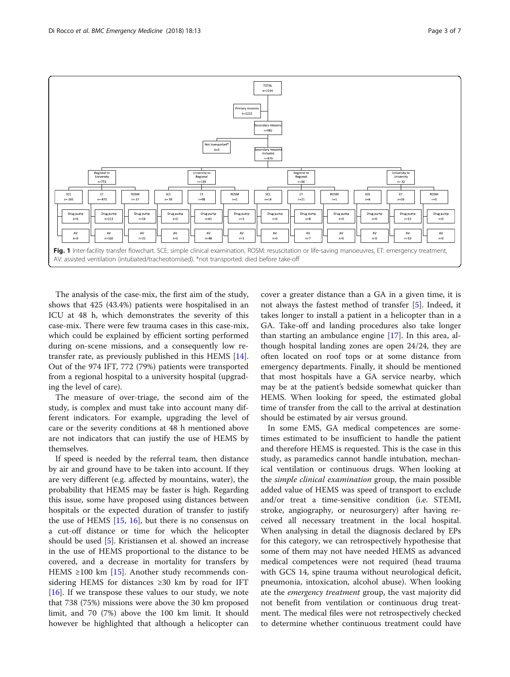

<span id="page-2-0"></span>

The analysis of the case-mix, the first aim of the study, shows that 425 (43.4%) patients were hospitalised in an ICU at 48 h, which demonstrates the severity of this case-mix. There were few trauma cases in this case-mix, which could be explained by efficient sorting performed during on-scene missions, and a consequently low retransfer rate, as previously published in this HEMS [\[14](#page-6-0)]. Out of the 974 IFT, 772 (79%) patients were transported from a regional hospital to a university hospital (upgrading the level of care).

The measure of over-triage, the second aim of the study, is complex and must take into account many different indicators. For example, upgrading the level of care or the severity conditions at 48 h mentioned above are not indicators that can justify the use of HEMS by themselves.

If speed is needed by the referral team, then distance by air and ground have to be taken into account. If they are very different (e.g. affected by mountains, water), the probability that HEMS may be faster is high. Regarding this issue, some have proposed using distances between hospitals or the expected duration of transfer to justify the use of HEMS [[15](#page-6-0), [16\]](#page-6-0), but there is no consensus on a cut-off distance or time for which the helicopter should be used [[5\]](#page-5-0). Kristiansen et al. showed an increase in the use of HEMS proportional to the distance to be covered, and a decrease in mortality for transfers by HEMS ≥100 km [\[15](#page-6-0)]. Another study recommends considering HEMS for distances ≥30 km by road for IFT [[16\]](#page-6-0). If we transpose these values to our study, we note that 738 (75%) missions were above the 30 km proposed limit, and 70 (7%) above the 100 km limit. It should however be highlighted that although a helicopter can cover a greater distance than a GA in a given time, it is not always the fastest method of transfer [[5\]](#page-5-0). Indeed, it takes longer to install a patient in a helicopter than in a GA. Take-off and landing procedures also take longer than starting an ambulance engine [[17\]](#page-6-0). In this area, although hospital landing zones are open 24/24, they are often located on roof tops or at some distance from emergency departments. Finally, it should be mentioned that most hospitals have a GA service nearby, which may be at the patient's bedside somewhat quicker than HEMS. When looking for speed, the estimated global time of transfer from the call to the arrival at destination should be estimated by air versus ground.

In some EMS, GA medical competences are sometimes estimated to be insufficient to handle the patient and therefore HEMS is requested. This is the case in this study, as paramedics cannot handle intubation, mechanical ventilation or continuous drugs. When looking at the simple clinical examination group, the main possible added value of HEMS was speed of transport to exclude and/or treat a time-sensitive condition (i.e. STEMI, stroke, angiography, or neurosurgery) after having received all necessary treatment in the local hospital. When analysing in detail the diagnosis declared by EPs for this category, we can retrospectively hypothesise that some of them may not have needed HEMS as advanced medical competences were not required (head trauma with GCS 14, spine trauma without neurological deficit, pneumonia, intoxication, alcohol abuse). When looking ate the *emergency treatment* group, the vast majority did not benefit from ventilation or continuous drug treatment. The medical files were not retrospectively checked to determine whether continuous treatment could have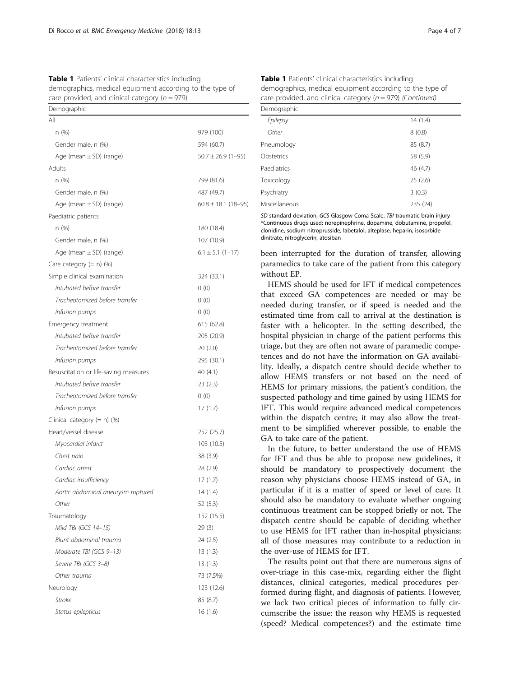<span id="page-3-0"></span>

| <b>Table 1</b> Patients' clinical characteristics including |
|-------------------------------------------------------------|
| demographics, medical equipment according to the type of    |
| care provided, and clinical category ( $n = 979$ )          |

| Demographic                           |                         |
|---------------------------------------|-------------------------|
| All                                   |                         |
| n (%)                                 | 979 (100)               |
| Gender male, n (%)                    | 594 (60.7)              |
| Age (mean $\pm$ SD) (range)           | $50.7 \pm 26.9$ (1-95)  |
| Adults                                |                         |
| n (%)                                 | 799 (81.6)              |
| Gender male, n (%)                    | 487 (49.7)              |
| Age (mean $\pm$ SD) (range)           | $60.8 \pm 18.1$ (18-95) |
| Paediatric patients                   |                         |
| n (%)                                 | 180 (18.4)              |
| Gender male, n (%)                    | 107 (10.9)              |
| Age (mean $\pm$ SD) (range)           | $6.1 \pm 5.1$ (1-17)    |
| Care category $(= n)$ $(\%)$          |                         |
| Simple clinical examination           | 324 (33.1)              |
| Intubated before transfer             | 0(0)                    |
| Tracheotomized before transfer        | 0(0)                    |
| Infusion pumps                        | 0(0)                    |
| Emergency treatment                   | 615 (62.8)              |
| Intubated before transfer             | 205 (20.9)              |
| Tracheotomized before transfer        | 20(2.0)                 |
| Infusion pumps                        | 295 (30.1)              |
| Resuscitation or life-saving measures | 40(4.1)                 |
| Intubated before transfer             | 23(2.3)                 |
| Tracheotomized before transfer        | 0(0)                    |
| Infusion pumps                        | 17(1.7)                 |
| Clinical category $(= n)$ (%)         |                         |
| Heart/vessel disease                  | 252 (25.7)              |
| Myocardial infarct                    | 103 (10.5)              |
| Chest pain                            | 38(3.9)                 |
| Cardiac arrest                        | 28 (2.9)                |
| Cardiac insufficiency                 | 17(1.7)                 |
| Aortic abdominal aneurysm ruptured    | 14(1.4)                 |
| Other                                 | 52(5.3)                 |
| Traumatology                          | 152 (15.5)              |
| Mild TBI (GCS 14-15)                  | 29(3)                   |
| Blunt abdominal trauma                | 24 (2.5)                |
| Moderate TBI (GCS 9-13)               | 13(1.3)                 |
| Severe TBI (GCS 3-8)                  | 13(1.3)                 |
| Other trauma                          | 73 (7.5%)               |
| Neurology                             | 123 (12.6)              |
| <b>Stroke</b>                         | 85(8.7)                 |
| Status epilepticus                    | 16 (1.6)                |

Table 1 Patients' clinical characteristics including demographics, medical equipment according to the type of care provided, and clinical category ( $n = 979$ ) (Continued)

| Demographic   |          |
|---------------|----------|
| Epilepsy      | 14(1.4)  |
| Other         | 8(0.8)   |
| Pneumology    | 85 (8.7) |
| Obstetrics    | 58 (5.9) |
| Paediatrics   | 46 (4.7) |
| Toxicology    | 25(2.6)  |
| Psychiatry    | 3(0.3)   |
| Miscellaneous | 235 (24) |

SD standard deviation, GCS Glasgow Coma Scale, TBI traumatic brain injury \*Continuous drugs used: norepinephrine, dopamine, dobutamine, propofol, clonidine, sodium nitroprusside, labetalol, alteplase, heparin, isosorbide dinitrate, nitroglycerin, atosiban

been interrupted for the duration of transfer, allowing paramedics to take care of the patient from this category without EP.

HEMS should be used for IFT if medical competences that exceed GA competences are needed or may be needed during transfer, or if speed is needed and the estimated time from call to arrival at the destination is faster with a helicopter. In the setting described, the hospital physician in charge of the patient performs this triage, but they are often not aware of paramedic competences and do not have the information on GA availability. Ideally, a dispatch centre should decide whether to allow HEMS transfers or not based on the need of HEMS for primary missions, the patient's condition, the suspected pathology and time gained by using HEMS for IFT. This would require advanced medical competences within the dispatch centre; it may also allow the treatment to be simplified wherever possible, to enable the GA to take care of the patient.

In the future, to better understand the use of HEMS for IFT and thus be able to propose new guidelines, it should be mandatory to prospectively document the reason why physicians choose HEMS instead of GA, in particular if it is a matter of speed or level of care. It should also be mandatory to evaluate whether ongoing continuous treatment can be stopped briefly or not. The dispatch centre should be capable of deciding whether to use HEMS for IFT rather than in-hospital physicians; all of those measures may contribute to a reduction in the over-use of HEMS for IFT.

The results point out that there are numerous signs of over-triage in this case-mix, regarding either the flight distances, clinical categories, medical procedures performed during flight, and diagnosis of patients. However, we lack two critical pieces of information to fully circumscribe the issue: the reason why HEMS is requested (speed? Medical competences?) and the estimate time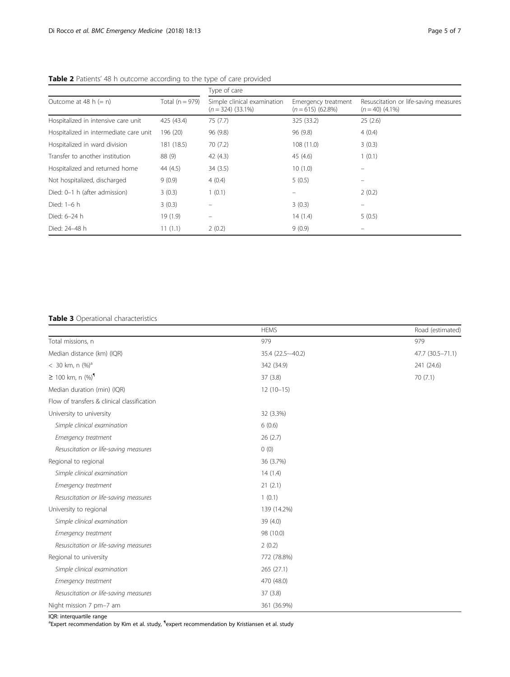| Outcome at 48 h $(= n)$                |                     | Type of care                                       |                                            |                                                            |  |
|----------------------------------------|---------------------|----------------------------------------------------|--------------------------------------------|------------------------------------------------------------|--|
|                                        | Total ( $n = 979$ ) | Simple clinical examination<br>$(n = 324)$ (33.1%) | Emergency treatment<br>$(n = 615)$ (62.8%) | Resuscitation or life-saving measures<br>$(n = 40)$ (4.1%) |  |
| Hospitalized in intensive care unit    | 425 (43.4)          | 75 (7.7)                                           | 325 (33.2)                                 | 25(2.6)                                                    |  |
| Hospitalized in intermediate care unit | 196 (20)            | 96(9.8)                                            | 96 (9.8)                                   | 4(0.4)                                                     |  |
| Hospitalized in ward division          | 181 (18.5)          | 70(7.2)                                            | 108(11.0)                                  | 3(0.3)                                                     |  |
| Transfer to another institution        | 88 (9)              | 42(4.3)                                            | 45(4.6)                                    | 1(0.1)                                                     |  |
| Hospitalized and returned home         | 44 (4.5)            | 34(3.5)                                            | 10(1.0)                                    |                                                            |  |
| Not hospitalized, discharged           | 9(0.9)              | 4(0.4)                                             | 5(0.5)                                     |                                                            |  |
| Died: 0-1 h (after admission)          | 3(0.3)              | 1(0.1)                                             |                                            | 2(0.2)                                                     |  |
| Died: 1-6 h                            | 3(0.3)              |                                                    | 3(0.3)                                     |                                                            |  |
| Died: 6-24 h                           | 19(1.9)             | $\equiv$                                           | 14(1.4)                                    | 5(0.5)                                                     |  |
| Died: 24-48 h                          | 11(1.1)             | 2(0.2)                                             | 9(0.9)                                     |                                                            |  |

<span id="page-4-0"></span>Table 2 Patients' 48 h outcome according to the type of care provided

# Table 3 Operational characteristics

|                                             | <b>HEMS</b>       | Road (estimated) |
|---------------------------------------------|-------------------|------------------|
| Total missions, n                           | 979               | 979              |
| Median distance (km) (IQR)                  | 35.4 (22.5--40.2) | 47.7 (30.5-71.1) |
| $< 30$ km, n $(\%)^a$                       | 342 (34.9)        | 241 (24.6)       |
| ≥ 100 km, n $(\%)^{\P}$                     | 37(3.8)           | 70(7.1)          |
| Median duration (min) (IQR)                 | $12(10-15)$       |                  |
| Flow of transfers & clinical classification |                   |                  |
| University to university                    | 32 (3.3%)         |                  |
| Simple clinical examination                 | 6(0.6)            |                  |
| Emergency treatment                         | 26(2.7)           |                  |
| Resuscitation or life-saving measures       | 0(0)              |                  |
| Regional to regional                        | 36 (3.7%)         |                  |
| Simple clinical examination                 | 14(1.4)           |                  |
| Emergency treatment                         | 21(2.1)           |                  |
| Resuscitation or life-saving measures       | 1(0.1)            |                  |
| University to regional                      | 139 (14.2%)       |                  |
| Simple clinical examination                 | 39(4.0)           |                  |
| Emergency treatment                         | 98 (10.0)         |                  |
| Resuscitation or life-saving measures       | 2(0.2)            |                  |
| Regional to university                      | 772 (78.8%)       |                  |
| Simple clinical examination                 | 265 (27.1)        |                  |
| Emergency treatment                         | 470 (48.0)        |                  |
| Resuscitation or life-saving measures       | 37(3.8)           |                  |
| Night mission 7 pm-7 am                     | 361 (36.9%)       |                  |

IQR: interquartile range<br><sup>a</sup>Expert recommendation by Kim et al. study, <sup>¶</sup>expert recommendation by Kristiansen et al. study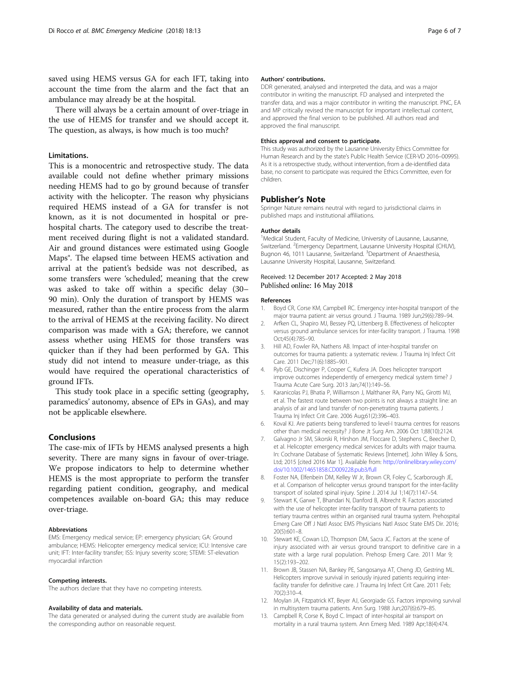<span id="page-5-0"></span>saved using HEMS versus GA for each IFT, taking into account the time from the alarm and the fact that an ambulance may already be at the hospital.

There will always be a certain amount of over-triage in the use of HEMS for transfer and we should accept it. The question, as always, is how much is too much?

# Limitations.

This is a monocentric and retrospective study. The data available could not define whether primary missions needing HEMS had to go by ground because of transfer activity with the helicopter. The reason why physicians required HEMS instead of a GA for transfer is not known, as it is not documented in hospital or prehospital charts. The category used to describe the treatment received during flight is not a validated standard. Air and ground distances were estimated using Google Maps®. The elapsed time between HEMS activation and arrival at the patient's bedside was not described, as some transfers were 'scheduled', meaning that the crew was asked to take off within a specific delay (30– 90 min). Only the duration of transport by HEMS was measured, rather than the entire process from the alarm to the arrival of HEMS at the receiving facility. No direct comparison was made with a GA; therefore, we cannot assess whether using HEMS for those transfers was quicker than if they had been performed by GA. This study did not intend to measure under-triage, as this would have required the operational characteristics of ground IFTs.

This study took place in a specific setting (geography, paramedics' autonomy, absence of EPs in GAs), and may not be applicable elsewhere.

## Conclusions

The case-mix of IFTs by HEMS analysed presents a high severity. There are many signs in favour of over-triage. We propose indicators to help to determine whether HEMS is the most appropriate to perform the transfer regarding patient condition, geography, and medical competences available on-board GA; this may reduce over-triage.

#### Abbreviations

EMS: Emergency medical service; EP: emergency physician; GA: Ground ambulance; HEMS: Helicopter emergency medical service; ICU: Intensive care unit; IFT: Inter-facility transfer; ISS: Injury severity score; STEMI: ST-elevation myocardial infarction

#### Competing interests.

The authors declare that they have no competing interests.

#### Availability of data and materials.

The data generated or analysed during the current study are available from the corresponding author on reasonable request.

#### Authors' contributions.

DDR generated, analysed and interpreted the data, and was a major contributor in writing the manuscript. FD analysed and interpreted the transfer data, and was a major contributor in writing the manuscript. PNC, EA and MP critically revised the manuscript for important intellectual content, and approved the final version to be published. All authors read and approved the final manuscript.

#### Ethics approval and consent to participate.

This study was authorized by the Lausanne University Ethics Committee for Human Research and by the state's Public Health Service (CER-VD 2016–00995). As it is a retrospective study, without intervention, from a de-identified data base, no consent to participate was required the Ethics Committee, even for children.

#### Publisher's Note

Springer Nature remains neutral with regard to jurisdictional claims in published maps and institutional affiliations.

#### Author details

<sup>1</sup>Medical Student, Faculty of Medicine, University of Lausanne, Lausanne, Switzerland. <sup>2</sup>Emergency Department, Lausanne University Hospital (CHUV), Bugnon 46, 1011 Lausanne, Switzerland. <sup>3</sup>Department of Anaesthesia Lausanne University Hospital, Lausanne, Switzerland.

#### Received: 12 December 2017 Accepted: 2 May 2018 Published online: 16 May 2018

#### References

- 1. Boyd CR, Corse KM, Campbell RC. Emergency inter-hospital transport of the major trauma patient: air versus ground. J Trauma. 1989 Jun;29(6):789–94.
- 2. Arfken CL, Shapiro MJ, Bessey PQ, Littenberg B. Effectiveness of helicopter versus ground ambulance services for inter-facility transport. J Trauma. 1998 Oct;45(4):785–90.
- 3. Hill AD, Fowler RA, Nathens AB. Impact of inter-hospital transfer on outcomes for trauma patients: a systematic review. J Trauma Inj Infect Crit Care. 2011 Dec;71(6):1885–901.
- 4. Ryb GE, Dischinger P, Cooper C, Kufera JA. Does helicopter transport improve outcomes independently of emergency medical system time? J Trauma Acute Care Surg. 2013 Jan;74(1):149–56.
- 5. Karanicolas PJ, Bhatia P, Williamson J, Malthaner RA, Parry NG, Girotti MJ, et al. The fastest route between two points is not always a straight line: an analysis of air and land transfer of non-penetrating trauma patients. J Trauma Inj Infect Crit Care. 2006 Aug;61(2):396–403.
- 6. Koval KJ. Are patients being transferred to level-I trauma centres for reasons other than medical necessity? J Bone Jt Surg Am. 2006 Oct 1;88(10):2124.
- 7. Galvagno Jr SM, Sikorski R, Hirshon JM, Floccare D, Stephens C, Beecher D, et al. Helicopter emergency medical services for adults with major trauma. In: Cochrane Database of Systematic Reviews [Internet]. John Wiley & Sons, Ltd; 2015 [cited 2016 Mar 1]. Available from: [http://onlinelibrary.wiley.com/](http://onlinelibrary.wiley.com/doi/10.1002/14651858.CD009228.pub3/full) [doi/10.1002/14651858.CD009228.pub3/full](http://onlinelibrary.wiley.com/doi/10.1002/14651858.CD009228.pub3/full)
- 8. Foster NA, Elfenbein DM, Kelley W Jr, Brown CR, Foley C, Scarborough JE, et al. Comparison of helicopter versus ground transport for the inter-facility transport of isolated spinal injury. Spine J. 2014 Jul 1;14(7):1147–54.
- 9. Stewart K, Garwe T, Bhandari N, Danford B, Albrecht R. Factors associated with the use of helicopter inter-facility transport of trauma patients to tertiary trauma centres within an organised rural trauma system. Prehospital Emerg Care Off J Natl Assoc EMS Physicians Natl Assoc State EMS Dir. 2016; 20(5):601–8.
- 10. Stewart KE, Cowan LD, Thompson DM, Sacra JC. Factors at the scene of injury associated with air versus ground transport to definitive care in a state with a large rural population. Prehosp Emerg Care. 2011 Mar 9; 15(2):193–202.
- 11. Brown JB, Stassen NA, Bankey PE, Sangosanya AT, Cheng JD, Gestring ML. Helicopters improve survival in seriously injured patients requiring interfacility transfer for definitive care. J Trauma Inj Infect Crit Care. 2011 Feb; 70(2):310–4.
- 12. Moylan JA, Fitzpatrick KT, Beyer AJ, Georgiade GS. Factors improving survival in multisystem trauma patients. Ann Surg. 1988 Jun;207(6):679–85.
- 13. Campbell R, Corse K, Boyd C. Impact of inter-hospital air transport on mortality in a rural trauma system. Ann Emerg Med. 1989 Apr;18(4):474.